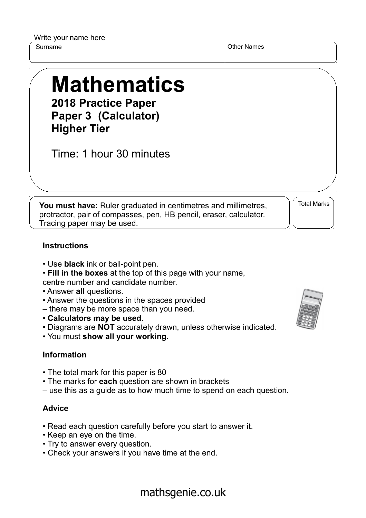Write your name here

Surname **Other Names** Other Names

# **Mathematics 2018 Practice Paper**

**Paper 3 (Calculator) Higher Tier**

Time: 1 hour 30 minutes

**You must have:** Ruler graduated in centimetres and millimetres, protractor, pair of compasses, pen, HB pencil, eraser, calculator. Tracing paper may be used.

Total Marks

### **Instructions**

- Use **black** ink or ball-point pen.
- **Fill in the boxes** at the top of this page with your name, centre number and candidate number.
- Answer **all** questions.
- Answer the questions in the spaces provided
- there may be more space than you need.
- **Calculators may be used**.
- Diagrams are **NOT** accurately drawn, unless otherwise indicated.
- You must **show all your working.**

#### **Information**

- The total mark for this paper is 80
- The marks for **each** question are shown in brackets
- use this as a guide as to how much time to spend on each question.

#### **Advice**

- Read each question carefully before you start to answer it.
- Keep an eye on the time.
- Try to answer every question.
- Check your answers if you have time at the end.



## mathsgenie.co.uk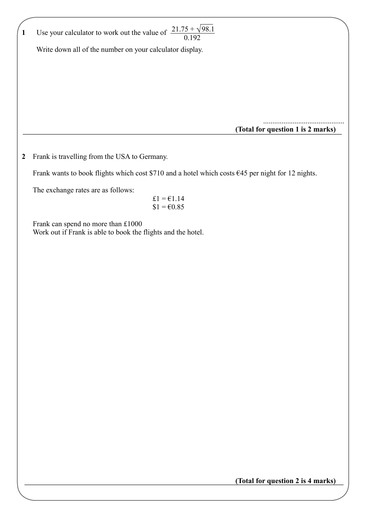| 1 | Use your calculator to work out the value of $\frac{21.75 + \sqrt{98.1}}{0.192}$                    |
|---|-----------------------------------------------------------------------------------------------------|
|   | Write down all of the number on your calculator display.                                            |
|   |                                                                                                     |
|   |                                                                                                     |
|   |                                                                                                     |
|   |                                                                                                     |
|   |                                                                                                     |
|   |                                                                                                     |
|   |                                                                                                     |
|   | (Total for question 1 is 2 marks)                                                                   |
|   |                                                                                                     |
| 2 | Frank is travelling from the USA to Germany.                                                        |
|   |                                                                                                     |
|   | Frank wants to book flights which cost \$710 and a hotel which costs $645$ per night for 12 nights. |
|   | The exchange rates are as follows:                                                                  |
|   | £1 = $€1.14$                                                                                        |
|   | $$1 = 60.85$                                                                                        |
|   |                                                                                                     |
|   | Frank can spend no more than £1000<br>Work out if Frank is able to book the flights and the hotel.  |
|   |                                                                                                     |
|   |                                                                                                     |
|   |                                                                                                     |
|   |                                                                                                     |
|   |                                                                                                     |
|   |                                                                                                     |
|   |                                                                                                     |
|   |                                                                                                     |
|   |                                                                                                     |
|   |                                                                                                     |
|   |                                                                                                     |
|   |                                                                                                     |
|   |                                                                                                     |
|   |                                                                                                     |
|   |                                                                                                     |
|   |                                                                                                     |
|   |                                                                                                     |
|   |                                                                                                     |
|   |                                                                                                     |
|   |                                                                                                     |
|   |                                                                                                     |

**(Total for question 2 is 4 marks)**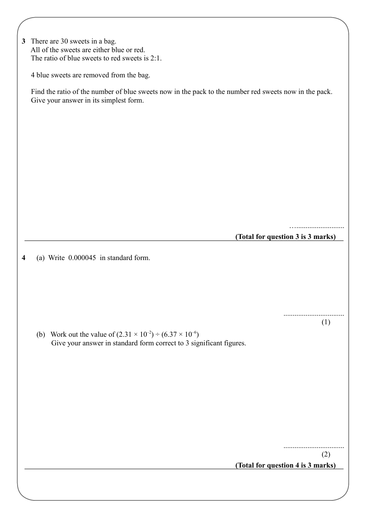| 3 There are 30 sweets in a bag.                |  |  |  |  |  |
|------------------------------------------------|--|--|--|--|--|
| All of the sweets are either blue or red.      |  |  |  |  |  |
| The ratio of blue sweets to red sweets is 2:1. |  |  |  |  |  |
|                                                |  |  |  |  |  |

4 blue sweets are removed from the bag.

 Find the ratio of the number of blue sweets now in the pack to the number red sweets now in the pack. Give your answer in its simplest form.

**(Total for question 3 is 3 marks)**

…..........................

.................................

(1)

**4** (a) Write 0.000045 in standard form.

**(b)** Work out the value of  $(2.31 \times 10^{-2}) \div (6.37 \times 10^{-6})$ Give your answer in standard form correct to 3 significant figures.

.................................

(2)

**(Total for question 4 is 3 marks)**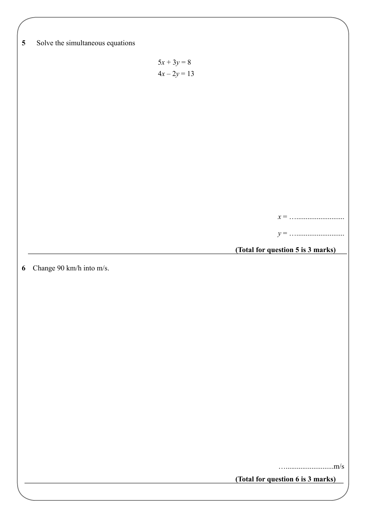| $\overline{\mathbf{5}}$ | Solve the simultaneous equations |                                 |                                   |  |
|-------------------------|----------------------------------|---------------------------------|-----------------------------------|--|
|                         |                                  |                                 |                                   |  |
|                         |                                  | $5x + 3y = 8$<br>$4x - 2y = 13$ |                                   |  |
|                         |                                  |                                 |                                   |  |
|                         |                                  |                                 |                                   |  |
|                         |                                  |                                 |                                   |  |
|                         |                                  |                                 |                                   |  |
|                         |                                  |                                 |                                   |  |
|                         |                                  |                                 |                                   |  |
|                         |                                  |                                 |                                   |  |
|                         |                                  |                                 |                                   |  |
|                         |                                  |                                 |                                   |  |
|                         |                                  |                                 |                                   |  |
|                         |                                  |                                 | (Total for question 5 is 3 marks) |  |
|                         |                                  |                                 |                                   |  |
|                         |                                  |                                 |                                   |  |
| $\boldsymbol{6}$        | Change 90 km/h into m/s.         |                                 |                                   |  |
|                         |                                  |                                 |                                   |  |
|                         |                                  |                                 |                                   |  |
|                         |                                  |                                 |                                   |  |
|                         |                                  |                                 |                                   |  |
|                         |                                  |                                 |                                   |  |
|                         |                                  |                                 |                                   |  |
|                         |                                  |                                 |                                   |  |
|                         |                                  |                                 |                                   |  |
|                         |                                  |                                 |                                   |  |
|                         |                                  |                                 |                                   |  |
|                         |                                  |                                 |                                   |  |
|                         |                                  |                                 | (Total for question 6 is 3 marks) |  |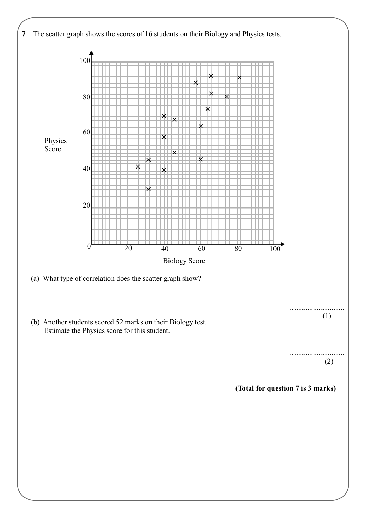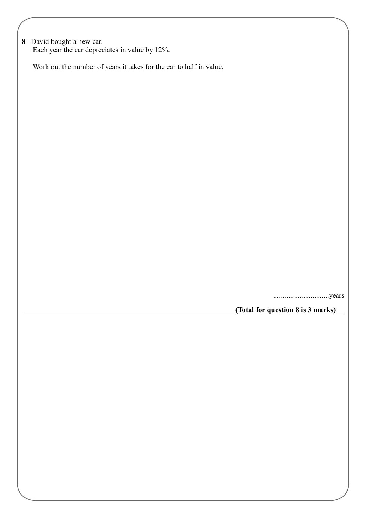**8** David bought a new car. Each year the car depreciates in value by 12%.

Work out the number of years it takes for the car to half in value.

…..........................years

**(Total for question 8 is 3 marks)**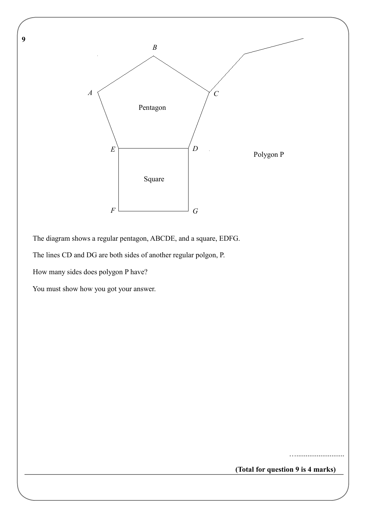**9** 



The diagram shows a regular pentagon, ABCDE, and a square, EDFG.

The lines CD and DG are both sides of another regular polgon, P.

How many sides does polygon P have?

You must show how you got your answer.

**(Total for question 9 is 4 marks)**

……………………………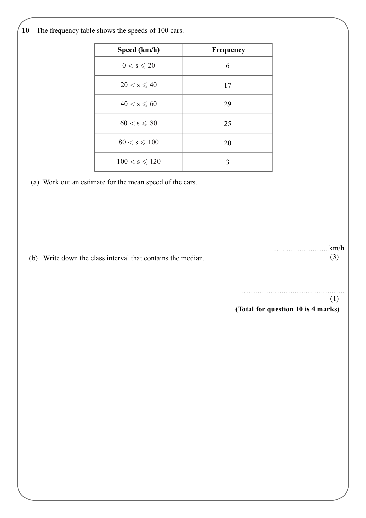**10** The frequency table shows the speeds of 100 cars.

| Speed (km/h)           | Frequency |
|------------------------|-----------|
| $0 < s \leqslant 20$   | 6         |
| $20 < s \leqslant 40$  | 17        |
| $40 < s \leqslant 60$  | 29        |
| $60 < s \leqslant 80$  | 25        |
| $80 < s \leqslant 100$ | 20        |
| $100 < s \le 120$      | 3         |

(a) Work out an estimate for the mean speed of the cars.

(b) Write down the class interval that contains the median.

(3)

…..........................km/h

**(Total for question 10 is 4 marks)** ….................................................... (1)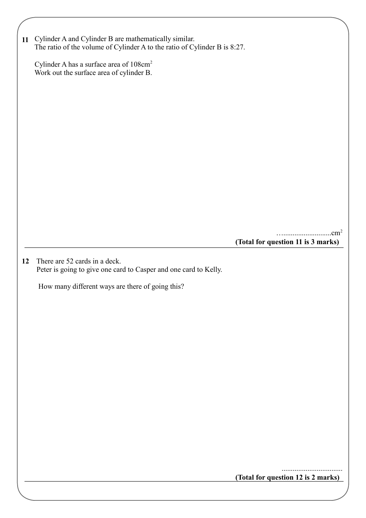|    | 11 Cylinder A and Cylinder B are mathematically similar.<br>The ratio of the volume of Cylinder A to the ratio of Cylinder B is 8:27. |                                    |  |
|----|---------------------------------------------------------------------------------------------------------------------------------------|------------------------------------|--|
|    | Cylinder A has a surface area of 108cm <sup>2</sup><br>Work out the surface area of cylinder B.                                       |                                    |  |
|    |                                                                                                                                       |                                    |  |
|    |                                                                                                                                       |                                    |  |
|    |                                                                                                                                       |                                    |  |
|    |                                                                                                                                       |                                    |  |
|    |                                                                                                                                       |                                    |  |
|    |                                                                                                                                       |                                    |  |
|    |                                                                                                                                       | (Total for question 11 is 3 marks) |  |
| 12 | There are 52 cards in a deck.<br>Peter is going to give one card to Casper and one card to Kelly.                                     |                                    |  |
|    | How many different ways are there of going this?                                                                                      |                                    |  |
|    |                                                                                                                                       |                                    |  |
|    |                                                                                                                                       |                                    |  |
|    |                                                                                                                                       |                                    |  |
|    |                                                                                                                                       |                                    |  |
|    |                                                                                                                                       |                                    |  |
|    |                                                                                                                                       |                                    |  |
|    |                                                                                                                                       |                                    |  |

**(Total for question 12 is 2 marks)**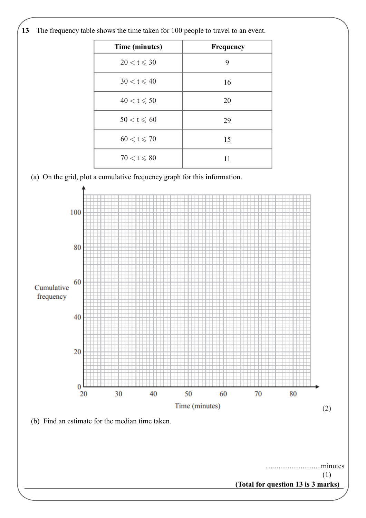**13** The frequency table shows the time taken for 100 people to travel to an event.

| Time (minutes)        | Frequency |
|-----------------------|-----------|
| $20 < t \leqslant 30$ | 9         |
| $30 < t \leqslant 40$ | 16        |
| $40 < t \leqslant 50$ | 20        |
| $50 < t \leqslant 60$ | 29        |
| $60 < t \leqslant 70$ | 15        |
| $70 < t \leqslant 80$ | 11        |

(a) On the grid, plot a cumulative frequency graph for this information.

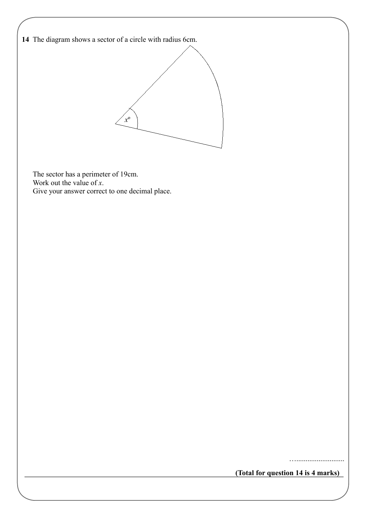**14**  The diagram shows a sector of a circle with radius 6cm.



 The sector has a perimeter of 19cm. Work out the value of *x*. Give your answer correct to one decimal place.

…..........................

**(Total for question 14 is 4 marks)**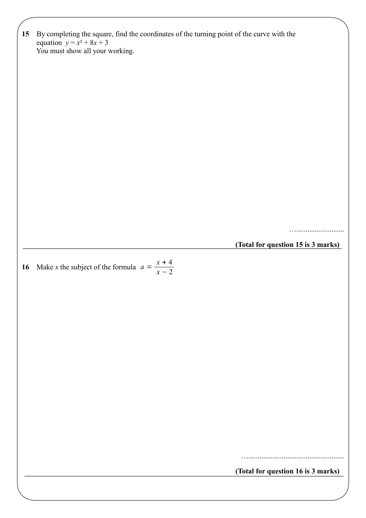| 15 |                                                                                                                          |                                    |  |  |  |  |
|----|--------------------------------------------------------------------------------------------------------------------------|------------------------------------|--|--|--|--|
|    | By completing the square, find the coordinates of the turning point of the curve with the<br>equation $y = x^2 + 8x + 3$ |                                    |  |  |  |  |
|    | You must show all your working.                                                                                          |                                    |  |  |  |  |
|    |                                                                                                                          |                                    |  |  |  |  |
|    |                                                                                                                          |                                    |  |  |  |  |
|    |                                                                                                                          |                                    |  |  |  |  |
|    |                                                                                                                          |                                    |  |  |  |  |
|    |                                                                                                                          |                                    |  |  |  |  |
|    |                                                                                                                          |                                    |  |  |  |  |
|    |                                                                                                                          |                                    |  |  |  |  |
|    |                                                                                                                          |                                    |  |  |  |  |
|    |                                                                                                                          |                                    |  |  |  |  |
|    |                                                                                                                          |                                    |  |  |  |  |
|    |                                                                                                                          |                                    |  |  |  |  |
|    |                                                                                                                          |                                    |  |  |  |  |
|    |                                                                                                                          |                                    |  |  |  |  |
|    |                                                                                                                          |                                    |  |  |  |  |
|    |                                                                                                                          |                                    |  |  |  |  |
|    |                                                                                                                          |                                    |  |  |  |  |
|    |                                                                                                                          | (Total for question 15 is 3 marks) |  |  |  |  |
|    |                                                                                                                          |                                    |  |  |  |  |
| 16 | Make <i>x</i> the subject of the formula $a = \frac{x+4}{x-2}$                                                           |                                    |  |  |  |  |
|    |                                                                                                                          |                                    |  |  |  |  |
|    |                                                                                                                          |                                    |  |  |  |  |
|    |                                                                                                                          |                                    |  |  |  |  |
|    |                                                                                                                          |                                    |  |  |  |  |
|    |                                                                                                                          |                                    |  |  |  |  |
|    |                                                                                                                          |                                    |  |  |  |  |
|    |                                                                                                                          |                                    |  |  |  |  |
|    |                                                                                                                          |                                    |  |  |  |  |
|    |                                                                                                                          |                                    |  |  |  |  |
|    |                                                                                                                          |                                    |  |  |  |  |
|    |                                                                                                                          |                                    |  |  |  |  |
|    |                                                                                                                          |                                    |  |  |  |  |
|    |                                                                                                                          |                                    |  |  |  |  |
|    |                                                                                                                          |                                    |  |  |  |  |
|    |                                                                                                                          |                                    |  |  |  |  |
|    |                                                                                                                          |                                    |  |  |  |  |
|    |                                                                                                                          |                                    |  |  |  |  |
|    |                                                                                                                          |                                    |  |  |  |  |
|    |                                                                                                                          | (Total for question 16 is 3 marks) |  |  |  |  |

<u> 1980 - Johann Barn, amerikan bestemannten bestemannten bestemannten bestemannten bestemannten bestemannten b</u>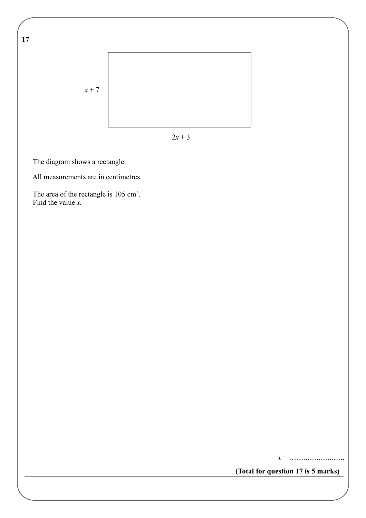**17** 



 $2x + 3$ 

The diagram shows a rectangle.

All measurements are in centimetres.

The area of the rectangle is 105 cm<sup>2</sup>. Find the value *x.*

*x* = …..........................

**(Total for question 17 is 5 marks)**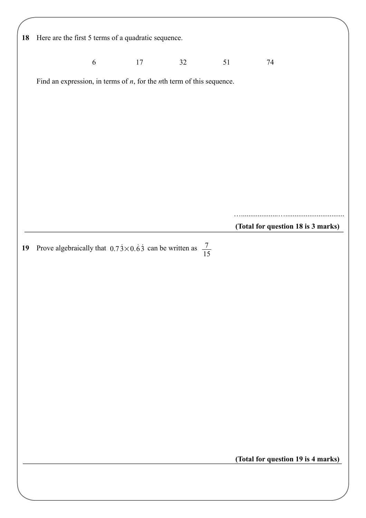| 18 |            | Here are the first 5 terms of a quadratic sequence.                          |    |    |                                    |  |
|----|------------|------------------------------------------------------------------------------|----|----|------------------------------------|--|
|    | $\sqrt{6}$ | 17                                                                           | 32 | 51 | 74                                 |  |
|    |            | Find an expression, in terms of $n$ , for the $n$ th term of this sequence.  |    |    |                                    |  |
|    |            |                                                                              |    |    |                                    |  |
|    |            |                                                                              |    |    |                                    |  |
|    |            |                                                                              |    |    |                                    |  |
|    |            |                                                                              |    |    |                                    |  |
|    |            |                                                                              |    |    |                                    |  |
|    |            |                                                                              |    |    |                                    |  |
|    |            |                                                                              |    |    | (Total for question 18 is 3 marks) |  |
| 19 |            | Prove algebraically that $0.73 \times 0.63$ can be written as $\frac{7}{15}$ |    |    |                                    |  |
|    |            |                                                                              |    |    |                                    |  |
|    |            |                                                                              |    |    |                                    |  |
|    |            |                                                                              |    |    |                                    |  |
|    |            |                                                                              |    |    |                                    |  |
|    |            |                                                                              |    |    |                                    |  |
|    |            |                                                                              |    |    |                                    |  |
|    |            |                                                                              |    |    |                                    |  |
|    |            |                                                                              |    |    |                                    |  |
|    |            |                                                                              |    |    |                                    |  |
|    |            |                                                                              |    |    |                                    |  |
|    |            |                                                                              |    |    | (Total for question 19 is 4 marks) |  |
|    |            |                                                                              |    |    |                                    |  |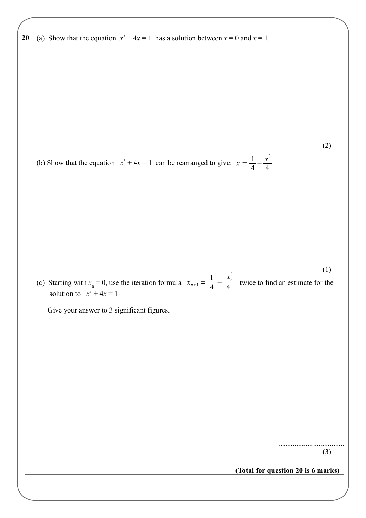**20 20** (a) Show that the equation  $x^3 + 4x = 1$  has a solution between  $x = 0$  and  $x = 1$ .

(b) Show that the equation  $x^3 + 4x = 1$  can be rearranged to give:  $x = \frac{1}{4}$ 4  $-\frac{x^3}{4}$ 4

 $x_{n+1} = \frac{1}{4}$ 4  $-\frac{x_n^3}{4}$ (c) Starting with  $x_0 = 0$ , use the iteration formula  $x_{n+1} = \frac{1}{4} - \frac{1}{4}$  twice to find an estimate for the solution to  $x^3 + 4x = 1$ (1)

Give your answer to 3 significant figures.

…................................ (3)

(2)

**(Total for question 20 is 6 marks)**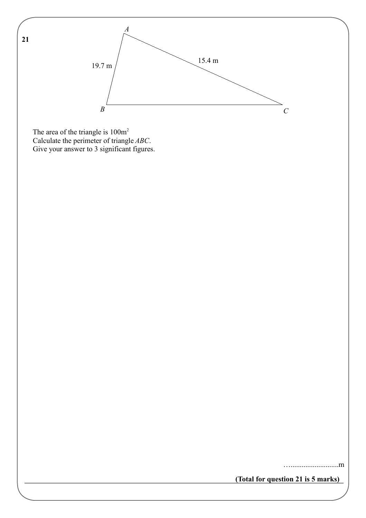